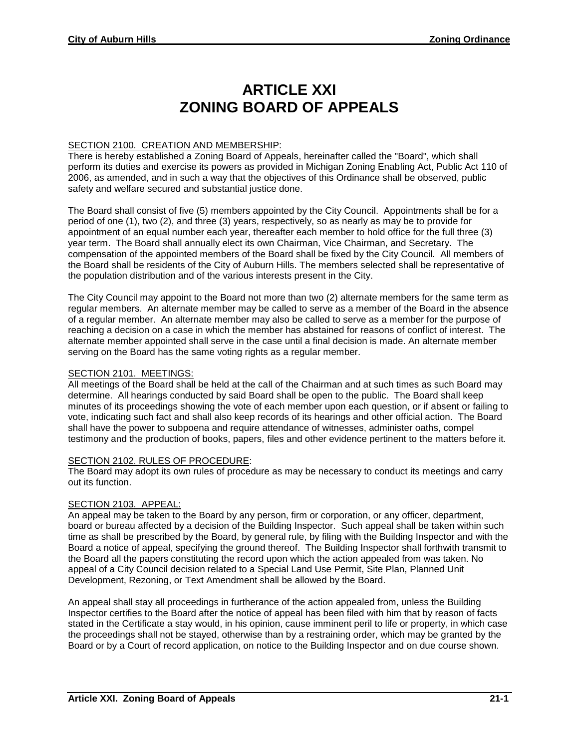# **ARTICLE XXI ZONING BOARD OF APPEALS**

# SECTION 2100. CREATION AND MEMBERSHIP:

There is hereby established a Zoning Board of Appeals, hereinafter called the "Board", which shall perform its duties and exercise its powers as provided in Michigan Zoning Enabling Act, Public Act 110 of 2006, as amended, and in such a way that the objectives of this Ordinance shall be observed, public safety and welfare secured and substantial justice done.

The Board shall consist of five (5) members appointed by the City Council. Appointments shall be for a period of one (1), two (2), and three (3) years, respectively, so as nearly as may be to provide for appointment of an equal number each year, thereafter each member to hold office for the full three (3) year term. The Board shall annually elect its own Chairman, Vice Chairman, and Secretary. The compensation of the appointed members of the Board shall be fixed by the City Council. All members of the Board shall be residents of the City of Auburn Hills. The members selected shall be representative of the population distribution and of the various interests present in the City.

The City Council may appoint to the Board not more than two (2) alternate members for the same term as regular members. An alternate member may be called to serve as a member of the Board in the absence of a regular member. An alternate member may also be called to serve as a member for the purpose of reaching a decision on a case in which the member has abstained for reasons of conflict of interest. The alternate member appointed shall serve in the case until a final decision is made. An alternate member serving on the Board has the same voting rights as a regular member.

#### SECTION 2101. MEETINGS:

All meetings of the Board shall be held at the call of the Chairman and at such times as such Board may determine. All hearings conducted by said Board shall be open to the public. The Board shall keep minutes of its proceedings showing the vote of each member upon each question, or if absent or failing to vote, indicating such fact and shall also keep records of its hearings and other official action. The Board shall have the power to subpoena and require attendance of witnesses, administer oaths, compel testimony and the production of books, papers, files and other evidence pertinent to the matters before it.

## SECTION 2102. RULES OF PROCEDURE:

The Board may adopt its own rules of procedure as may be necessary to conduct its meetings and carry out its function.

## SECTION 2103. APPEAL:

An appeal may be taken to the Board by any person, firm or corporation, or any officer, department, board or bureau affected by a decision of the Building Inspector. Such appeal shall be taken within such time as shall be prescribed by the Board, by general rule, by filing with the Building Inspector and with the Board a notice of appeal, specifying the ground thereof. The Building Inspector shall forthwith transmit to the Board all the papers constituting the record upon which the action appealed from was taken. No appeal of a City Council decision related to a Special Land Use Permit, Site Plan, Planned Unit Development, Rezoning, or Text Amendment shall be allowed by the Board.

An appeal shall stay all proceedings in furtherance of the action appealed from, unless the Building Inspector certifies to the Board after the notice of appeal has been filed with him that by reason of facts stated in the Certificate a stay would, in his opinion, cause imminent peril to life or property, in which case the proceedings shall not be stayed, otherwise than by a restraining order, which may be granted by the Board or by a Court of record application, on notice to the Building Inspector and on due course shown.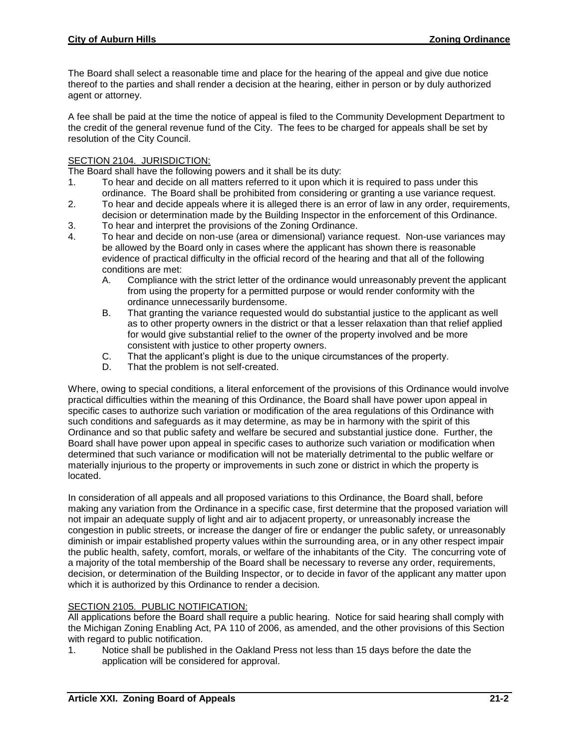The Board shall select a reasonable time and place for the hearing of the appeal and give due notice thereof to the parties and shall render a decision at the hearing, either in person or by duly authorized agent or attorney.

A fee shall be paid at the time the notice of appeal is filed to the Community Development Department to the credit of the general revenue fund of the City. The fees to be charged for appeals shall be set by resolution of the City Council.

## SECTION 2104. JURISDICTION:

The Board shall have the following powers and it shall be its duty:

- 1. To hear and decide on all matters referred to it upon which it is required to pass under this ordinance. The Board shall be prohibited from considering or granting a use variance request.
- 2. To hear and decide appeals where it is alleged there is an error of law in any order, requirements, decision or determination made by the Building Inspector in the enforcement of this Ordinance.
- 3. To hear and interpret the provisions of the Zoning Ordinance.
- 4. To hear and decide on non-use (area or dimensional) variance request. Non-use variances may be allowed by the Board only in cases where the applicant has shown there is reasonable evidence of practical difficulty in the official record of the hearing and that all of the following conditions are met:
	- A. Compliance with the strict letter of the ordinance would unreasonably prevent the applicant from using the property for a permitted purpose or would render conformity with the ordinance unnecessarily burdensome.
	- B. That granting the variance requested would do substantial justice to the applicant as well as to other property owners in the district or that a lesser relaxation than that relief applied for would give substantial relief to the owner of the property involved and be more consistent with justice to other property owners.
	- C. That the applicant's plight is due to the unique circumstances of the property.
	- D. That the problem is not self-created.

Where, owing to special conditions, a literal enforcement of the provisions of this Ordinance would involve practical difficulties within the meaning of this Ordinance, the Board shall have power upon appeal in specific cases to authorize such variation or modification of the area regulations of this Ordinance with such conditions and safeguards as it may determine, as may be in harmony with the spirit of this Ordinance and so that public safety and welfare be secured and substantial justice done. Further, the Board shall have power upon appeal in specific cases to authorize such variation or modification when determined that such variance or modification will not be materially detrimental to the public welfare or materially injurious to the property or improvements in such zone or district in which the property is located.

In consideration of all appeals and all proposed variations to this Ordinance, the Board shall, before making any variation from the Ordinance in a specific case, first determine that the proposed variation will not impair an adequate supply of light and air to adjacent property, or unreasonably increase the congestion in public streets, or increase the danger of fire or endanger the public safety, or unreasonably diminish or impair established property values within the surrounding area, or in any other respect impair the public health, safety, comfort, morals, or welfare of the inhabitants of the City. The concurring vote of a majority of the total membership of the Board shall be necessary to reverse any order, requirements, decision, or determination of the Building Inspector, or to decide in favor of the applicant any matter upon which it is authorized by this Ordinance to render a decision.

## SECTION 2105. PUBLIC NOTIFICATION:

All applications before the Board shall require a public hearing. Notice for said hearing shall comply with the Michigan Zoning Enabling Act, PA 110 of 2006, as amended, and the other provisions of this Section with regard to public notification.

1. Notice shall be published in the Oakland Press not less than 15 days before the date the application will be considered for approval.